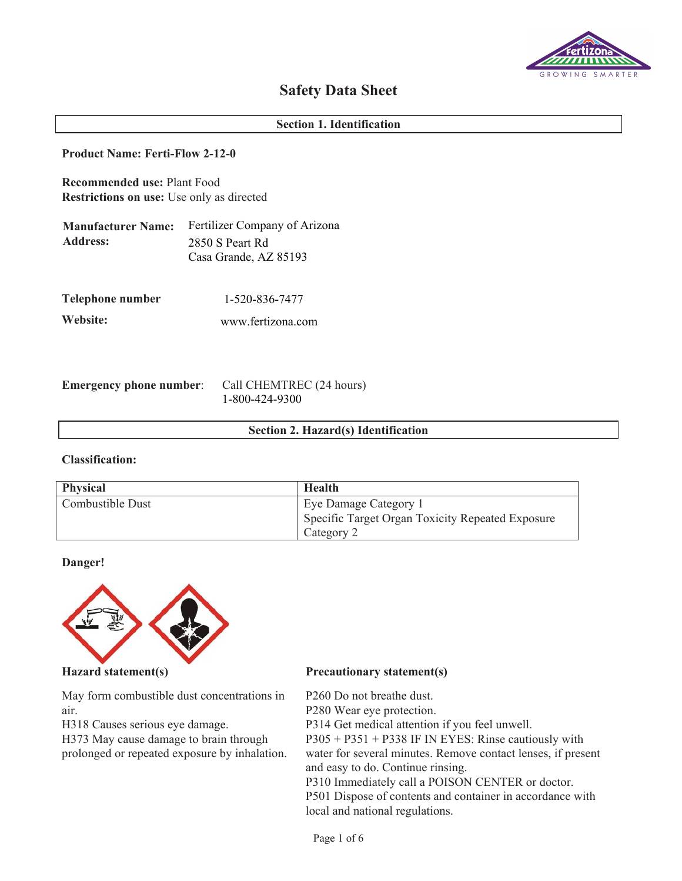

# **Safety Data Sheet**

## **Section 1. Identification**

## **Product Name: Ferti-Flow 2-12-0**

**Recommended use:** Plant Food **Restrictions on use:** Use only as directed

| <b>Manufacturer Name:</b> | <b>Fertilizer Company of Arizona</b> |
|---------------------------|--------------------------------------|
| <b>Address:</b>           | 2850 S Peart Rd                      |
|                           | Casa Grande, AZ 85193                |

**Telephone number** 1-520-836-7477

**Website:** [www.fertizona.com](mailto:techservicesrequests@compassminerals.com)

**Emergency phone number**: Call CHEMTREC (24 hours) 1-800-424-9300

## **Section 2. Hazard(s) Identification**

# **Classification:**

| <b>Physical</b>  | Health                                           |
|------------------|--------------------------------------------------|
| Combustible Dust | Eye Damage Category 1                            |
|                  | Specific Target Organ Toxicity Repeated Exposure |
|                  | Category 2                                       |

## **Danger!**



May form combustible dust concentrations in air.

H318 Causes serious eye damage.

H373 May cause damage to brain through prolonged or repeated exposure by inhalation.

## **Hazard statement(s) Precautionary statement(s)**

P260 Do not breathe dust.

P280 Wear eye protection.

P314 Get medical attention if you feel unwell.

P305 + P351 + P338 IF IN EYES: Rinse cautiously with

water for several minutes. Remove contact lenses, if present and easy to do. Continue rinsing.

P310 Immediately call a POISON CENTER or doctor. P501 Dispose of contents and container in accordance with local and national regulations.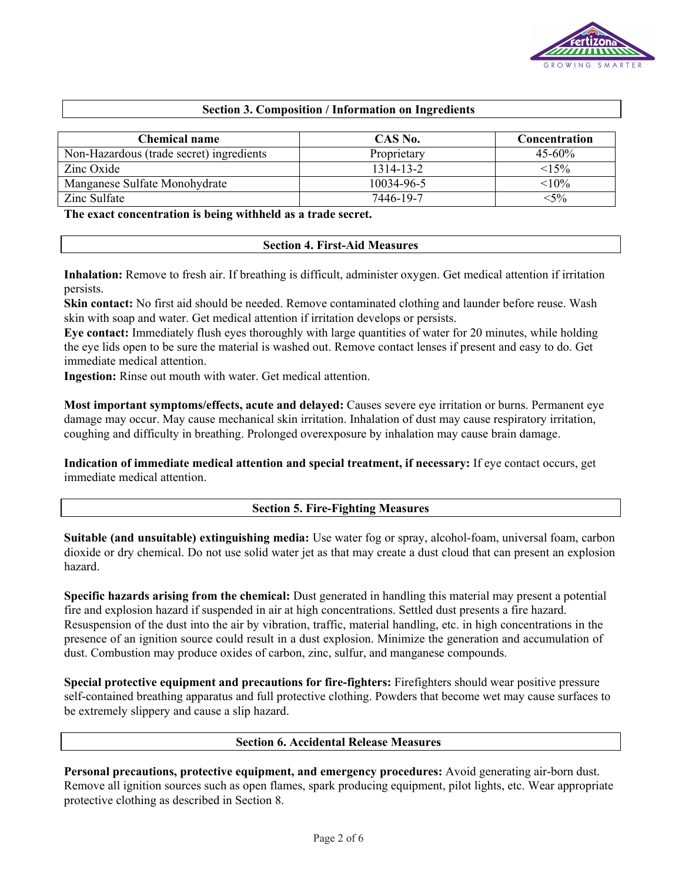

## **Section 3. Composition / Information on Ingredients**

| <b>Chemical name</b>                     | CAS No.     | Concentration |
|------------------------------------------|-------------|---------------|
| Non-Hazardous (trade secret) ingredients | Proprietary | $45 - 60\%$   |
| Zinc Oxide                               | 1314-13-2   | <15%          |
| Manganese Sulfate Monohydrate            | 10034-96-5  | $< 10\%$      |
| Zinc Sulfate                             | 7446-19-7   | $<$ 5%        |

**The exact concentration is being withheld as a trade secret.**

## **Section 4. First-Aid Measures**

**Inhalation:** Remove to fresh air. If breathing is difficult, administer oxygen. Get medical attention if irritation persists.

**Skin contact:** No first aid should be needed. Remove contaminated clothing and launder before reuse. Wash skin with soap and water. Get medical attention if irritation develops or persists.

**Eye contact:** Immediately flush eyes thoroughly with large quantities of water for 20 minutes, while holding the eye lids open to be sure the material is washed out. Remove contact lenses if present and easy to do. Get immediate medical attention.

**Ingestion:** Rinse out mouth with water. Get medical attention.

**Most important symptoms/effects, acute and delayed:** Causes severe eye irritation or burns. Permanent eye damage may occur. May cause mechanical skin irritation. Inhalation of dust may cause respiratory irritation, coughing and difficulty in breathing. Prolonged overexposure by inhalation may cause brain damage.

**Indication of immediate medical attention and special treatment, if necessary:** If eye contact occurs, get immediate medical attention.

## **Section 5. Fire-Fighting Measures**

**Suitable (and unsuitable) extinguishing media:** Use water fog or spray, alcohol-foam, universal foam, carbon dioxide or dry chemical. Do not use solid water jet as that may create a dust cloud that can present an explosion hazard.

**Specific hazards arising from the chemical:** Dust generated in handling this material may present a potential fire and explosion hazard if suspended in air at high concentrations. Settled dust presents a fire hazard. Resuspension of the dust into the air by vibration, traffic, material handling, etc. in high concentrations in the presence of an ignition source could result in a dust explosion. Minimize the generation and accumulation of dust. Combustion may produce oxides of carbon, zinc, sulfur, and manganese compounds.

**Special protective equipment and precautions for fire-fighters:** Firefighters should wear positive pressure self-contained breathing apparatus and full protective clothing. Powders that become wet may cause surfaces to be extremely slippery and cause a slip hazard.

## **Section 6. Accidental Release Measures**

**Personal precautions, protective equipment, and emergency procedures:** Avoid generating air-born dust. Remove all ignition sources such as open flames, spark producing equipment, pilot lights, etc. Wear appropriate protective clothing as described in Section 8.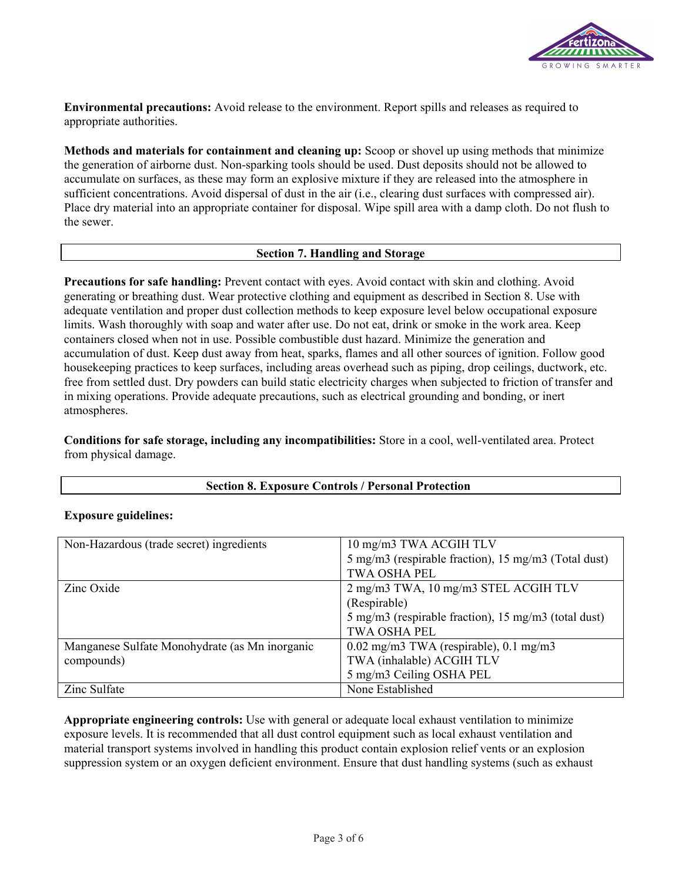

**Environmental precautions:** Avoid release to the environment. Report spills and releases as required to appropriate authorities.

**Methods and materials for containment and cleaning up:** Scoop or shovel up using methods that minimize the generation of airborne dust. Non-sparking tools should be used. Dust deposits should not be allowed to accumulate on surfaces, as these may form an explosive mixture if they are released into the atmosphere in sufficient concentrations. Avoid dispersal of dust in the air (i.e., clearing dust surfaces with compressed air). Place dry material into an appropriate container for disposal. Wipe spill area with a damp cloth. Do not flush to the sewer.

## **Section 7. Handling and Storage**

**Precautions for safe handling:** Prevent contact with eyes. Avoid contact with skin and clothing. Avoid generating or breathing dust. Wear protective clothing and equipment as described in Section 8. Use with adequate ventilation and proper dust collection methods to keep exposure level below occupational exposure limits. Wash thoroughly with soap and water after use. Do not eat, drink or smoke in the work area. Keep containers closed when not in use. Possible combustible dust hazard. Minimize the generation and accumulation of dust. Keep dust away from heat, sparks, flames and all other sources of ignition. Follow good housekeeping practices to keep surfaces, including areas overhead such as piping, drop ceilings, ductwork, etc. free from settled dust. Dry powders can build static electricity charges when subjected to friction of transfer and in mixing operations. Provide adequate precautions, such as electrical grounding and bonding, or inert atmospheres.

**Conditions for safe storage, including any incompatibilities:** Store in a cool, well-ventilated area. Protect from physical damage.

# **Section 8. Exposure Controls / Personal Protection**

## **Exposure guidelines:**

| Non-Hazardous (trade secret) ingredients       | 10 mg/m3 TWA ACGIH TLV                               |
|------------------------------------------------|------------------------------------------------------|
|                                                | 5 mg/m3 (respirable fraction), 15 mg/m3 (Total dust) |
|                                                | <b>TWA OSHA PEL</b>                                  |
| Zinc Oxide                                     | 2 mg/m3 TWA, 10 mg/m3 STEL ACGIH TLV                 |
|                                                | (Respirable)                                         |
|                                                | 5 mg/m3 (respirable fraction), 15 mg/m3 (total dust) |
|                                                | <b>TWA OSHA PEL</b>                                  |
| Manganese Sulfate Monohydrate (as Mn inorganic | $0.02 \text{ mg/m}$ 3 TWA (respirable), 0.1 mg/m3    |
| compounds)                                     | TWA (inhalable) ACGIH TLV                            |
|                                                | 5 mg/m3 Ceiling OSHA PEL                             |
| Zinc Sulfate                                   | None Established                                     |

**Appropriate engineering controls:** Use with general or adequate local exhaust ventilation to minimize exposure levels. It is recommended that all dust control equipment such as local exhaust ventilation and material transport systems involved in handling this product contain explosion relief vents or an explosion suppression system or an oxygen deficient environment. Ensure that dust handling systems (such as exhaust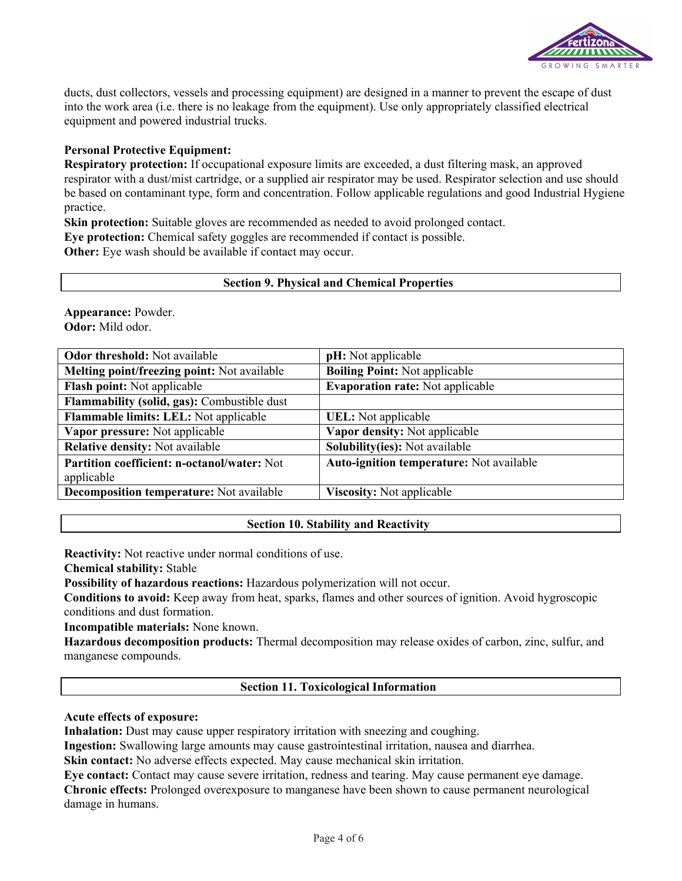

ducts, dust collectors, vessels and processing equipment) are designed in a manner to prevent the escape of dust into the work area (i.e. there is no leakage from the equipment). Use only appropriately classified electrical equipment and powered industrial trucks.

# **Personal Protective Equipment:**

**Respiratory protection:** If occupational exposure limits are exceeded, a dust filtering mask, an approved respirator with a dust/mist cartridge, or a supplied air respirator may be used. Respirator selection and use should be based on contaminant type, form and concentration. Follow applicable regulations and good Industrial Hygiene practice.

**Skin protection:** Suitable gloves are recommended as needed to avoid prolonged contact.

**Eye protection:** Chemical safety goggles are recommended if contact is possible.

**Other:** Eye wash should be available if contact may occur.

## **Section 9. Physical and Chemical Properties**

**Appearance:** Powder. **Odor:** Mild odor.

| <b>Odor threshold:</b> Not available               | pH: Not applicable                       |
|----------------------------------------------------|------------------------------------------|
| Melting point/freezing point: Not available        | <b>Boiling Point: Not applicable</b>     |
| Flash point: Not applicable                        | <b>Evaporation rate:</b> Not applicable  |
| Flammability (solid, gas): Combustible dust        |                                          |
| Flammable limits: LEL: Not applicable              | UEL: Not applicable                      |
| Vapor pressure: Not applicable                     | Vapor density: Not applicable            |
| <b>Relative density:</b> Not available             | <b>Solubility(ies):</b> Not available    |
| <b>Partition coefficient: n-octanol/water: Not</b> | Auto-ignition temperature: Not available |
| applicable                                         |                                          |
| Decomposition temperature: Not available           | <b>Viscosity:</b> Not applicable         |
|                                                    |                                          |

# **Section 10. Stability and Reactivity**

**Reactivity:** Not reactive under normal conditions of use.

**Chemical stability:** Stable

**Possibility of hazardous reactions:** Hazardous polymerization will not occur.

**Conditions to avoid:** Keep away from heat, sparks, flames and other sources of ignition. Avoid hygroscopic conditions and dust formation.

**Incompatible materials:** None known.

**Hazardous decomposition products:** Thermal decomposition may release oxides of carbon, zinc, sulfur, and manganese compounds.

# **Section 11. Toxicological Information**

# **Acute effects of exposure:**

**Inhalation:** Dust may cause upper respiratory irritation with sneezing and coughing.

**Ingestion:** Swallowing large amounts may cause gastrointestinal irritation, nausea and diarrhea.

**Skin contact:** No adverse effects expected. May cause mechanical skin irritation.

**Eye contact:** Contact may cause severe irritation, redness and tearing. May cause permanent eye damage. **Chronic effects:** Prolonged overexposure to manganese have been shown to cause permanent neurological damage in humans.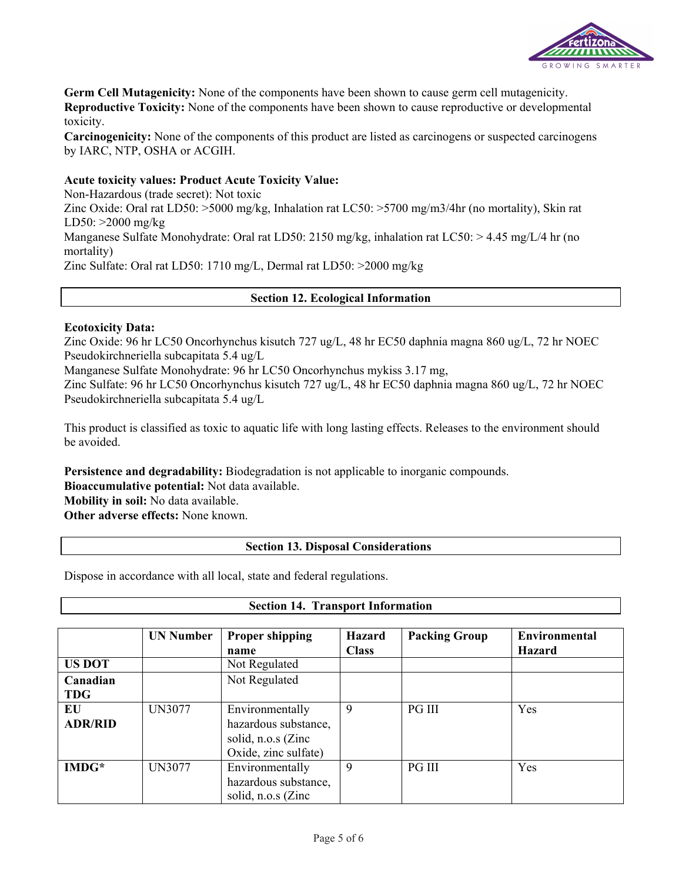

**Germ Cell Mutagenicity:** None of the components have been shown to cause germ cell mutagenicity. **Reproductive Toxicity:** None of the components have been shown to cause reproductive or developmental toxicity.

**Carcinogenicity:** None of the components of this product are listed as carcinogens or suspected carcinogens by IARC, NTP, OSHA or ACGIH.

## **Acute toxicity values: Product Acute Toxicity Value:**

Non-Hazardous (trade secret): Not toxic Zinc Oxide: Oral rat LD50: >5000 mg/kg, Inhalation rat LC50: >5700 mg/m3/4hr (no mortality), Skin rat LD50: >2000 mg/kg Manganese Sulfate Monohydrate: Oral rat LD50: 2150 mg/kg, inhalation rat LC50: > 4.45 mg/L/4 hr (no mortality) Zinc Sulfate: Oral rat LD50: 1710 mg/L, Dermal rat LD50: >2000 mg/kg

## **Section 12. Ecological Information**

## **Ecotoxicity Data:**

Zinc Oxide: 96 hr LC50 Oncorhynchus kisutch 727 ug/L, 48 hr EC50 daphnia magna 860 ug/L, 72 hr NOEC Pseudokirchneriella subcapitata 5.4 ug/L

Manganese Sulfate Monohydrate: 96 hr LC50 Oncorhynchus mykiss 3.17 mg,

Zinc Sulfate: 96 hr LC50 Oncorhynchus kisutch 727 ug/L, 48 hr EC50 daphnia magna 860 ug/L, 72 hr NOEC Pseudokirchneriella subcapitata 5.4 ug/L

This product is classified as toxic to aquatic life with long lasting effects. Releases to the environment should be avoided.

**Persistence and degradability:** Biodegradation is not applicable to inorganic compounds.

**Bioaccumulative potential:** Not data available.

**Mobility in soil:** No data available.

**Other adverse effects:** None known.

## **Section 13. Disposal Considerations**

**Section 14. Transport Information**

Dispose in accordance with all local, state and federal regulations.

|                | <b>UN Number</b> | <b>Proper shipping</b> | <b>Hazard</b> | <b>Packing Group</b> | <b>Environmental</b> |
|----------------|------------------|------------------------|---------------|----------------------|----------------------|
|                |                  | name                   | <b>Class</b>  |                      | <b>Hazard</b>        |
| <b>US DOT</b>  |                  | Not Regulated          |               |                      |                      |
| Canadian       |                  | Not Regulated          |               |                      |                      |
| <b>TDG</b>     |                  |                        |               |                      |                      |
| EU             | <b>UN3077</b>    | Environmentally        | 9             | <b>PG III</b>        | Yes                  |
| <b>ADR/RID</b> |                  | hazardous substance,   |               |                      |                      |
|                |                  | solid, n.o.s (Zinc     |               |                      |                      |
|                |                  | Oxide, zinc sulfate)   |               |                      |                      |
| $IMDG*$        | <b>UN3077</b>    | Environmentally        | 9             | <b>PG III</b>        | Yes                  |
|                |                  | hazardous substance,   |               |                      |                      |
|                |                  | solid, n.o.s (Zinc     |               |                      |                      |